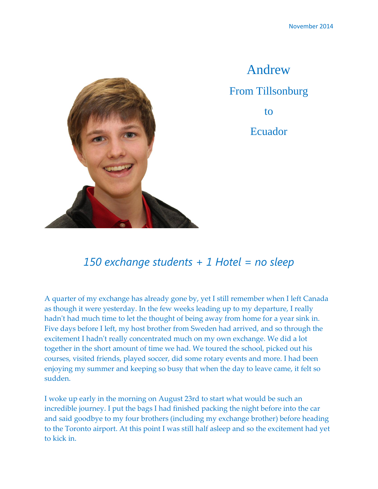

Andrew From Tillsonburg to Ecuador

## *150 exchange students + 1 Hotel = no sleep*

A quarter of my exchange has already gone by, yet I still remember when I left Canada as though it were yesterday. In the few weeks leading up to my departure, I really hadn't had much time to let the thought of being away from home for a year sink in. Five days before I left, my host brother from Sweden had arrived, and so through the excitement I hadn't really concentrated much on my own exchange. We did a lot together in the short amount of time we had. We toured the school, picked out his courses, visited friends, played soccer, did some rotary events and more. I had been enjoying my summer and keeping so busy that when the day to leave came, it felt so sudden.

I woke up early in the morning on August 23rd to start what would be such an incredible journey. I put the bags I had finished packing the night before into the car and said goodbye to my four brothers (including my exchange brother) before heading to the Toronto airport. At this point I was still half asleep and so the excitement had yet to kick in.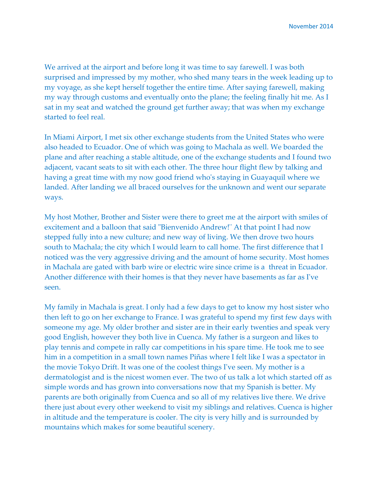We arrived at the airport and before long it was time to say farewell. I was both surprised and impressed by my mother, who shed many tears in the week leading up to my voyage, as she kept herself together the entire time. After saying farewell, making my way through customs and eventually onto the plane; the feeling finally hit me. As I sat in my seat and watched the ground get further away; that was when my exchange started to feel real.

In Miami Airport, I met six other exchange students from the United States who were also headed to Ecuador. One of which was going to Machala as well. We boarded the plane and after reaching a stable altitude, one of the exchange students and I found two adjacent, vacant seats to sit with each other. The three hour flight flew by talking and having a great time with my now good friend who's staying in Guayaquil where we landed. After landing we all braced ourselves for the unknown and went our separate ways.

My host Mother, Brother and Sister were there to greet me at the airport with smiles of excitement and a balloon that said "Bienvenido Andrew!¨ At that point I had now stepped fully into a new culture; and new way of living. We then drove two hours south to Machala; the city which I would learn to call home. The first difference that I noticed was the very aggressive driving and the amount of home security. Most homes in Machala are gated with barb wire or electric wire since crime is a threat in Ecuador. Another difference with their homes is that they never have basements as far as I've seen.

My family in Machala is great. I only had a few days to get to know my host sister who then left to go on her exchange to France. I was grateful to spend my first few days with someone my age. My older brother and sister are in their early twenties and speak very good English, however they both live in Cuenca. My father is a surgeon and likes to play tennis and compete in rally car competitions in his spare time. He took me to see him in a competition in a small town names Piñas where I felt like I was a spectator in the movie Tokyo Drift. It was one of the coolest things I've seen. My mother is a dermatologist and is the nicest women ever. The two of us talk a lot which started off as simple words and has grown into conversations now that my Spanish is better. My parents are both originally from Cuenca and so all of my relatives live there. We drive there just about every other weekend to visit my siblings and relatives. Cuenca is higher in altitude and the temperature is cooler. The city is very hilly and is surrounded by mountains which makes for some beautiful scenery.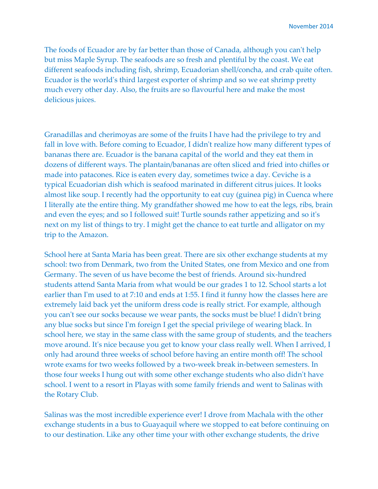The foods of Ecuador are by far better than those of Canada, although you can't help but miss Maple Syrup. The seafoods are so fresh and plentiful by the coast. We eat different seafoods including fish, shrimp, Ecuadorian shell/concha, and crab quite often. Ecuador is the world's third largest exporter of shrimp and so we eat shrimp pretty much every other day. Also, the fruits are so flavourful here and make the most delicious juices.

Granadillas and cherimoyas are some of the fruits I have had the privilege to try and fall in love with. Before coming to Ecuador, I didn't realize how many different types of bananas there are. Ecuador is the banana capital of the world and they eat them in dozens of different ways. The plantain/bananas are often sliced and fried into chifles or made into patacones. Rice is eaten every day, sometimes twice a day. Ceviche is a typical Ecuadorian dish which is seafood marinated in different citrus juices. It looks almost like soup. I recently had the opportunity to eat cuy (guinea pig) in Cuenca where I literally ate the entire thing. My grandfather showed me how to eat the legs, ribs, brain and even the eyes; and so I followed suit! Turtle sounds rather appetizing and so it's next on my list of things to try. I might get the chance to eat turtle and alligator on my trip to the Amazon.

School here at Santa Maria has been great. There are six other exchange students at my school: two from Denmark, two from the United States, one from Mexico and one from Germany. The seven of us have become the best of friends. Around six-hundred students attend Santa Maria from what would be our grades 1 to 12. School starts a lot earlier than I'm used to at 7:10 and ends at 1:55. I find it funny how the classes here are extremely laid back yet the uniform dress code is really strict. For example, although you can't see our socks because we wear pants, the socks must be blue! I didn't bring any blue socks but since I'm foreign I get the special privilege of wearing black. In school here, we stay in the same class with the same group of students, and the teachers move around. It's nice because you get to know your class really well. When I arrived, I only had around three weeks of school before having an entire month off! The school wrote exams for two weeks followed by a two-week break in-between semesters. In those four weeks I hung out with some other exchange students who also didn't have school. I went to a resort in Playas with some family friends and went to Salinas with the Rotary Club.

Salinas was the most incredible experience ever! I drove from Machala with the other exchange students in a bus to Guayaquil where we stopped to eat before continuing on to our destination. Like any other time your with other exchange students, the drive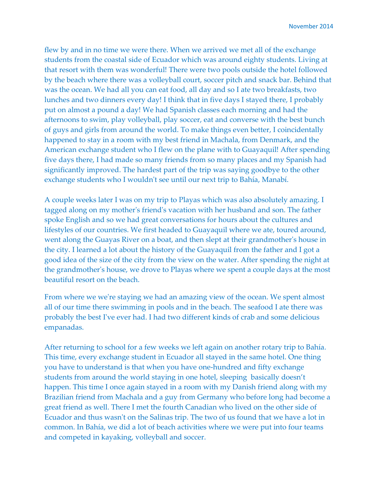flew by and in no time we were there. When we arrived we met all of the exchange students from the coastal side of Ecuador which was around eighty students. Living at that resort with them was wonderful! There were two pools outside the hotel followed by the beach where there was a volleyball court, soccer pitch and snack bar. Behind that was the ocean. We had all you can eat food, all day and so I ate two breakfasts, two lunches and two dinners every day! I think that in five days I stayed there, I probably put on almost a pound a day! We had Spanish classes each morning and had the afternoons to swim, play volleyball, play soccer, eat and converse with the best bunch of guys and girls from around the world. To make things even better, I coincidentally happened to stay in a room with my best friend in Machala, from Denmark, and the American exchange student who I flew on the plane with to Guayaquil! After spending five days there, I had made so many friends from so many places and my Spanish had significantly improved. The hardest part of the trip was saying goodbye to the other exchange students who I wouldn't see until our next trip to Bahía, Manabí.

A couple weeks later I was on my trip to Playas which was also absolutely amazing. I tagged along on my mother's friend's vacation with her husband and son. The father spoke English and so we had great conversations for hours about the cultures and lifestyles of our countries. We first headed to Guayaquil where we ate, toured around, went along the Guayas River on a boat, and then slept at their grandmother's house in the city. I learned a lot about the history of the Guayaquil from the father and I got a good idea of the size of the city from the view on the water. After spending the night at the grandmother's house, we drove to Playas where we spent a couple days at the most beautiful resort on the beach.

From where we we're staying we had an amazing view of the ocean. We spent almost all of our time there swimming in pools and in the beach. The seafood I ate there was probably the best I've ever had. I had two different kinds of crab and some delicious empanadas.

After returning to school for a few weeks we left again on another rotary trip to Bahía. This time, every exchange student in Ecuador all stayed in the same hotel. One thing you have to understand is that when you have one-hundred and fifty exchange students from around the world staying in one hotel, sleeping basically doesn't happen. This time I once again stayed in a room with my Danish friend along with my Brazilian friend from Machala and a guy from Germany who before long had become a great friend as well. There I met the fourth Canadian who lived on the other side of Ecuador and thus wasn't on the Salinas trip. The two of us found that we have a lot in common. In Bahía, we did a lot of beach activities where we were put into four teams and competed in kayaking, volleyball and soccer.